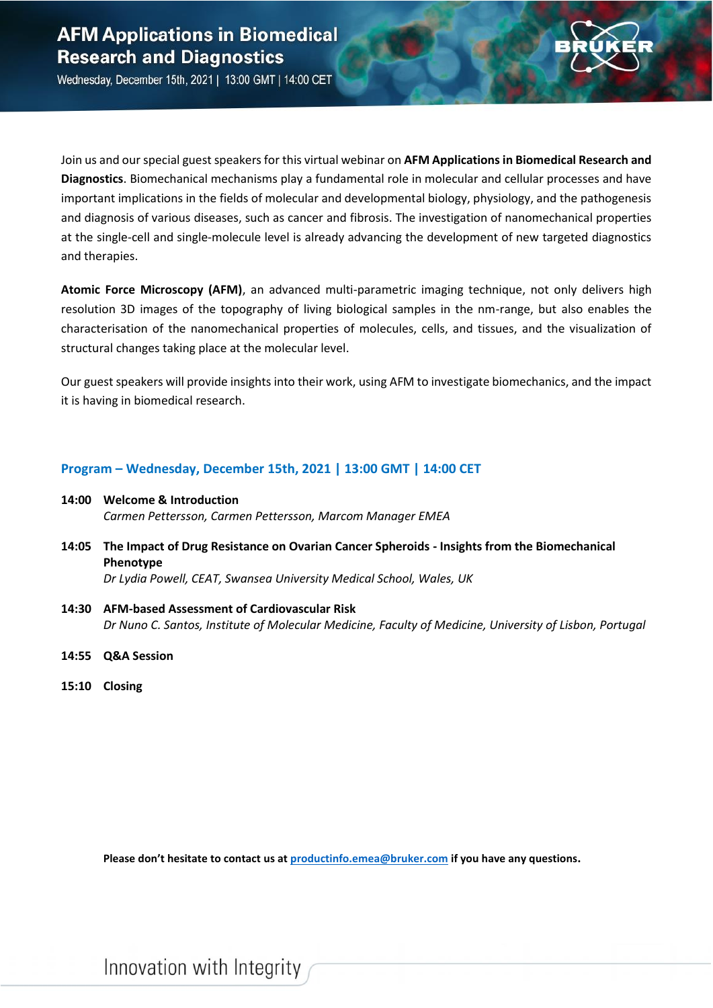

Wednesday, December 15th, 2021 | 13:00 GMT | 14:00 CET

Join us and our special guest speakers for this virtual webinar on **AFM Applications in Biomedical Research and Diagnostics**. Biomechanical mechanisms play a fundamental role in molecular and cellular processes and have important implications in the fields of molecular and developmental biology, physiology, and the pathogenesis and diagnosis of various diseases, such as cancer and fibrosis. The investigation of nanomechanical properties at the single-cell and single-molecule level is already advancing the development of new targeted diagnostics and therapies.

**Atomic Force Microscopy (AFM)**, an advanced multi-parametric imaging technique, not only delivers high resolution 3D images of the topography of living biological samples in the nm-range, but also enables the characterisation of the nanomechanical properties of molecules, cells, and tissues, and the visualization of structural changes taking place at the molecular level.

Our guest speakers will provide insights into their work, using AFM to investigate biomechanics, and the impact it is having in biomedical research.

### **Program – Wednesday, December 15th, 2021 | 13:00 GMT | 14:00 CET**

- **14:00 Welcome & Introduction** *Carmen Pettersson, Carmen Pettersson, Marcom Manager EMEA*
- **14:05 The Impact of Drug Resistance on Ovarian Cancer Spheroids - Insights from the Biomechanical Phenotype** *Dr Lydia Powell, CEAT, Swansea University Medical School, Wales, UK*
- **14:30 AFM-based Assessment of Cardiovascular Risk** *Dr Nuno C. Santos, Institute of Molecular Medicine, Faculty of Medicine, University of Lisbon, Portugal*
- **14:55 Q&A Session**
- **15:10 Closing**

**Please don't hesitate to contact us at [productinfo.emea@bruker.com](mailto:productinfo.emea@bruker.com) if you have any questions.**

Innovation with Integrity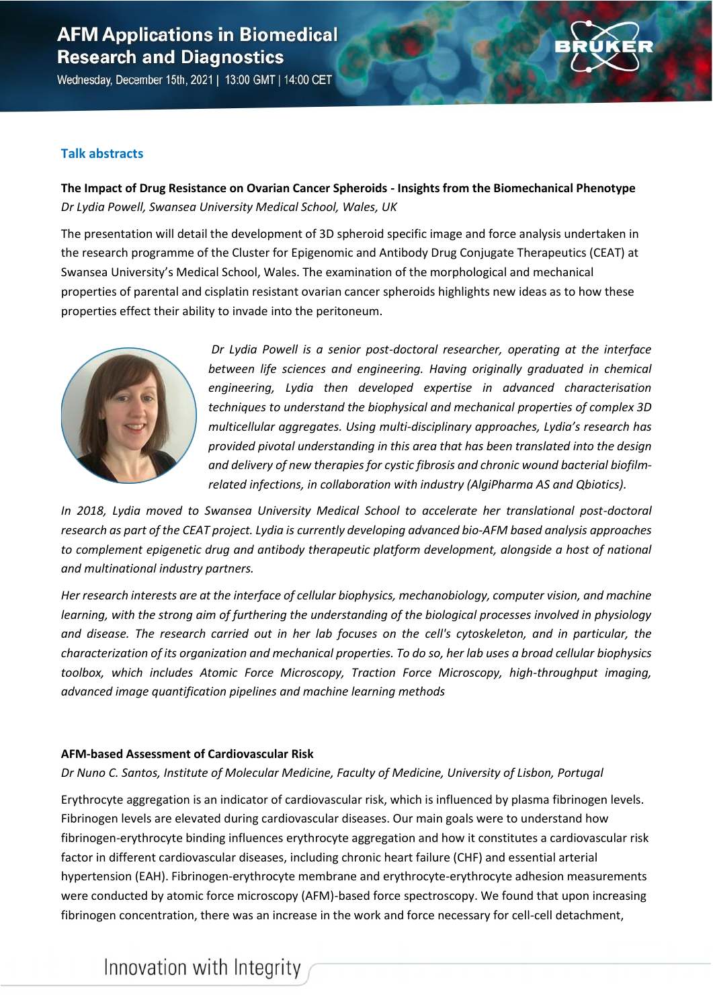## **AFM Applications in Biomedical Research and Diagnostics**

Wednesday, December 15th, 2021 | 13:00 GMT | 14:00 CET

### **Talk abstracts**

**The Impact of Drug Resistance on Ovarian Cancer Spheroids - Insights from the Biomechanical Phenotype** *Dr Lydia Powell, Swansea University Medical School, Wales, UK*

The presentation will detail the development of 3D spheroid specific image and force analysis undertaken in the research programme of the Cluster for Epigenomic and Antibody Drug Conjugate Therapeutics (CEAT) at Swansea University's Medical School, Wales. The examination of the morphological and mechanical properties of parental and cisplatin resistant ovarian cancer spheroids highlights new ideas as to how these properties effect their ability to invade into the peritoneum.



*Dr Lydia Powell is a senior post-doctoral researcher, operating at the interface*  between life sciences and engineering. Having originally graduated in chemical *engineering, Lydia then developed expertise in advanced characterisation techniques to understand the biophysical and mechanical properties of complex 3D multicellular aggregates. Using multi-disciplinary approaches, Lydia's research has provided pivotal understanding in this area that has been translated into the design and delivery of new therapies for cystic fibrosis and chronic wound bacterial biofilmrelated infections, in collaboration with industry (AlgiPharma AS and Qbiotics).*

*In 2018, Lydia moved to Swansea University Medical School to accelerate her translational post-doctoral research as part of the CEAT project. Lydia is currently developing advanced bio-AFM based analysis approaches to complement epigenetic drug and antibody therapeutic platform development, alongside a host of national and multinational industry partners.* 

*Her research interests are at the interface of cellular biophysics, mechanobiology, computer vision, and machine learning, with the strong aim of furthering the understanding of the biological processes involved in physiology and disease. The research carried out in her lab focuses on the cell's cytoskeleton, and in particular, the characterization of its organization and mechanical properties. To do so, her lab uses a broad cellular biophysics toolbox, which includes Atomic Force Microscopy, Traction Force Microscopy, high-throughput imaging, advanced image quantification pipelines and machine learning methods*

### **AFM-based Assessment of Cardiovascular Risk**

#### *Dr Nuno C. Santos, Institute of Molecular Medicine, Faculty of Medicine, University of Lisbon, Portugal*

Erythrocyte aggregation is an indicator of cardiovascular risk, which is influenced by plasma fibrinogen levels. Fibrinogen levels are elevated during cardiovascular diseases. Our main goals were to understand how fibrinogen-erythrocyte binding influences erythrocyte aggregation and how it constitutes a cardiovascular risk factor in different cardiovascular diseases, including chronic heart failure (CHF) and essential arterial hypertension (EAH). Fibrinogen-erythrocyte membrane and erythrocyte-erythrocyte adhesion measurements were conducted by atomic force microscopy (AFM)-based force spectroscopy. We found that upon increasing fibrinogen concentration, there was an increase in the work and force necessary for cell-cell detachment,

# Innovation with Integrity